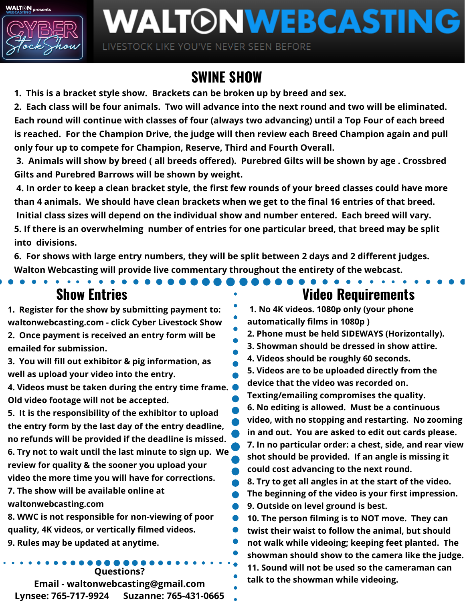**WALTON** presents



## WALTONWEBCASTING

LIVESTOCK LIKE YOU'VE NEVER SEEN BEFORE

## **SWINE SHOW**

**1. This is a bracket style show. Brackets can be broken up by breed and sex.**

2. Each class will be four animals. Two will advance into the next round and two will be eliminated. Each round will continue with classes of four (always two advancing) until a Top Four of each breed **is reached. For the Champion Drive, the judge will then review each Breed Champion again and pull only four up to compete for Champion, Reserve, Third and Fourth Overall.**

3. Animals will show by breed (all breeds offered). Purebred Gilts will be shown by age. Crossbred **Gilts and Purebred Barrows will be shown by weight.**

4. In order to keep a clean bracket style, the first few rounds of your breed classes could have more than 4 animals. We should have clean brackets when we get to the final 16 entries of that breed. **Initial class sizes will depend on the individual show and number entered. Each breed will vary. 5. If there is an overwhelming number of entries for one particular breed, that breed may be split into divisions.**

**6. For shows with large entry numbers, they will be split between 2 days and 2 different judges. Walton Webcasting will provide live commentary throughout the entirety of the webcast.**

**1. Register for the show by submitting payment to: waltonwebcasting.com - click Cyber Livestock Show 2. Once payment is received an entry form will be emailed for submission.**

**3. You will fill out exhibitor & pig information, as well as upload your video into the entry.**

**4. Videos must be taken during the entry time frame. Old video footage will not be accepted.**

**5. It is the responsibility of the exhibitor to upload the entry form by the last day of the entry deadline, no refunds will be provided if the deadline is missed. 6. Try not to wait until the last minute to sign up. We review for quality & the sooner you upload your video the more time you will have for corrections. 7. The show will be available online at**

**waltonwebcasting.com**

**8. WWC is not responsible for non-viewing of poor quality, 4K videos, or vertically filmed videos. 9. Rules may be updated at anytime.**

**Questions?**

**Email - waltonwebcasting@gmail.com Lynsee: 765-717-9924 Suzanne: 765-431-0665**

## **Show Entries Video Requirements**